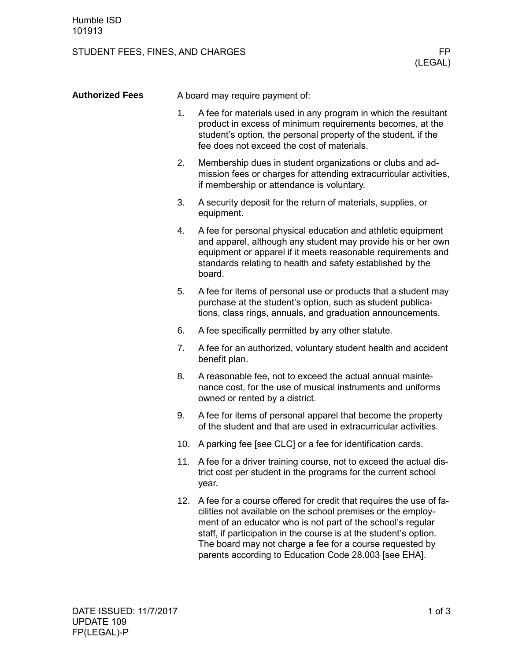## STUDENT FEES, FINES, AND CHARGES FINES, AND THE RESISTENT PRESENTED AS A REPORT OF PRESENT ASSESSMENT PRESENT

| <b>Authorized Fees</b> | A board may require payment of: |                                                                                                                                                                                                                                                                                                                                                                                                 |  |
|------------------------|---------------------------------|-------------------------------------------------------------------------------------------------------------------------------------------------------------------------------------------------------------------------------------------------------------------------------------------------------------------------------------------------------------------------------------------------|--|
|                        | 1.                              | A fee for materials used in any program in which the resultant<br>product in excess of minimum requirements becomes, at the<br>student's option, the personal property of the student, if the<br>fee does not exceed the cost of materials.                                                                                                                                                     |  |
|                        | 2.                              | Membership dues in student organizations or clubs and ad-<br>mission fees or charges for attending extracurricular activities,<br>if membership or attendance is voluntary.                                                                                                                                                                                                                     |  |
|                        | 3.                              | A security deposit for the return of materials, supplies, or<br>equipment.                                                                                                                                                                                                                                                                                                                      |  |
|                        | 4.                              | A fee for personal physical education and athletic equipment<br>and apparel, although any student may provide his or her own<br>equipment or apparel if it meets reasonable requirements and<br>standards relating to health and safety established by the<br>board.                                                                                                                            |  |
|                        | 5.                              | A fee for items of personal use or products that a student may<br>purchase at the student's option, such as student publica-<br>tions, class rings, annuals, and graduation announcements.                                                                                                                                                                                                      |  |
|                        | 6.                              | A fee specifically permitted by any other statute.                                                                                                                                                                                                                                                                                                                                              |  |
|                        | 7.                              | A fee for an authorized, voluntary student health and accident<br>benefit plan.                                                                                                                                                                                                                                                                                                                 |  |
|                        | 8.                              | A reasonable fee, not to exceed the actual annual mainte-<br>nance cost, for the use of musical instruments and uniforms<br>owned or rented by a district.                                                                                                                                                                                                                                      |  |
|                        | 9.                              | A fee for items of personal apparel that become the property<br>of the student and that are used in extracurricular activities.                                                                                                                                                                                                                                                                 |  |
|                        |                                 | 10. A parking fee [see CLC] or a fee for identification cards.                                                                                                                                                                                                                                                                                                                                  |  |
|                        |                                 | 11. A fee for a driver training course, not to exceed the actual dis-<br>trict cost per student in the programs for the current school<br>year.                                                                                                                                                                                                                                                 |  |
|                        |                                 | 12. A fee for a course offered for credit that requires the use of fa-<br>cilities not available on the school premises or the employ-<br>ment of an educator who is not part of the school's regular<br>staff, if participation in the course is at the student's option.<br>The board may not charge a fee for a course requested by<br>parents according to Education Code 28.003 [see EHA]. |  |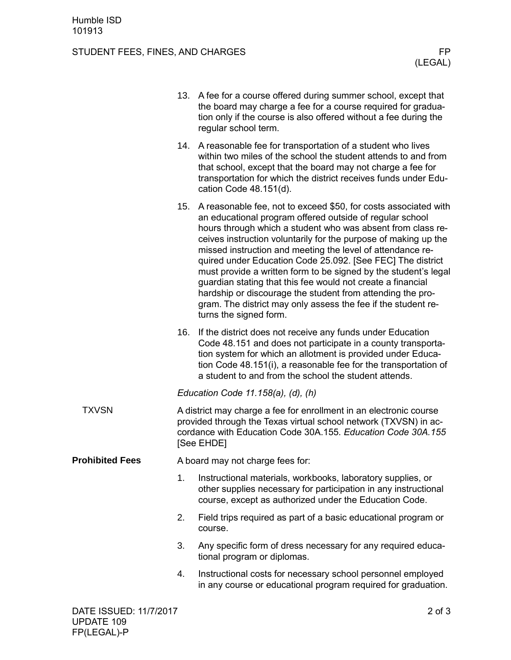## STUDENT FEES, FINES, AND CHARGES FINES, AND THE RESISTENT PRESENTED AS A REPORT OF PRESENT ASSESSMENT PRESENT

|                        |                                                                                                                                                                                                                      | 13. A fee for a course offered during summer school, except that<br>the board may charge a fee for a course required for gradua-<br>tion only if the course is also offered without a fee during the<br>regular school term.                                                                                                                                                                                                                                                                                                                                                                                                                                                             |  |
|------------------------|----------------------------------------------------------------------------------------------------------------------------------------------------------------------------------------------------------------------|------------------------------------------------------------------------------------------------------------------------------------------------------------------------------------------------------------------------------------------------------------------------------------------------------------------------------------------------------------------------------------------------------------------------------------------------------------------------------------------------------------------------------------------------------------------------------------------------------------------------------------------------------------------------------------------|--|
|                        |                                                                                                                                                                                                                      | 14. A reasonable fee for transportation of a student who lives<br>within two miles of the school the student attends to and from<br>that school, except that the board may not charge a fee for<br>transportation for which the district receives funds under Edu-<br>cation Code 48.151(d).                                                                                                                                                                                                                                                                                                                                                                                             |  |
|                        |                                                                                                                                                                                                                      | 15. A reasonable fee, not to exceed \$50, for costs associated with<br>an educational program offered outside of regular school<br>hours through which a student who was absent from class re-<br>ceives instruction voluntarily for the purpose of making up the<br>missed instruction and meeting the level of attendance re-<br>quired under Education Code 25.092. [See FEC] The district<br>must provide a written form to be signed by the student's legal<br>guardian stating that this fee would not create a financial<br>hardship or discourage the student from attending the pro-<br>gram. The district may only assess the fee if the student re-<br>turns the signed form. |  |
|                        | 16.                                                                                                                                                                                                                  | If the district does not receive any funds under Education<br>Code 48.151 and does not participate in a county transporta-<br>tion system for which an allotment is provided under Educa-<br>tion Code 48.151(i), a reasonable fee for the transportation of<br>a student to and from the school the student attends.                                                                                                                                                                                                                                                                                                                                                                    |  |
|                        | Education Code 11.158(a), (d), (h)                                                                                                                                                                                   |                                                                                                                                                                                                                                                                                                                                                                                                                                                                                                                                                                                                                                                                                          |  |
| <b>TXVSN</b>           | A district may charge a fee for enrollment in an electronic course<br>provided through the Texas virtual school network (TXVSN) in ac-<br>cordance with Education Code 30A.155. Education Code 30A.155<br>[See EHDE] |                                                                                                                                                                                                                                                                                                                                                                                                                                                                                                                                                                                                                                                                                          |  |
| <b>Prohibited Fees</b> | A board may not charge fees for:                                                                                                                                                                                     |                                                                                                                                                                                                                                                                                                                                                                                                                                                                                                                                                                                                                                                                                          |  |
|                        | 1.                                                                                                                                                                                                                   | Instructional materials, workbooks, laboratory supplies, or<br>other supplies necessary for participation in any instructional<br>course, except as authorized under the Education Code.                                                                                                                                                                                                                                                                                                                                                                                                                                                                                                 |  |
|                        | 2.                                                                                                                                                                                                                   | Field trips required as part of a basic educational program or<br>course.                                                                                                                                                                                                                                                                                                                                                                                                                                                                                                                                                                                                                |  |
|                        | 3.                                                                                                                                                                                                                   | Any specific form of dress necessary for any required educa-<br>tional program or diplomas.                                                                                                                                                                                                                                                                                                                                                                                                                                                                                                                                                                                              |  |
|                        | 4.                                                                                                                                                                                                                   | Instructional costs for necessary school personnel employed<br>in any course or educational program required for graduation.                                                                                                                                                                                                                                                                                                                                                                                                                                                                                                                                                             |  |
|                        |                                                                                                                                                                                                                      |                                                                                                                                                                                                                                                                                                                                                                                                                                                                                                                                                                                                                                                                                          |  |